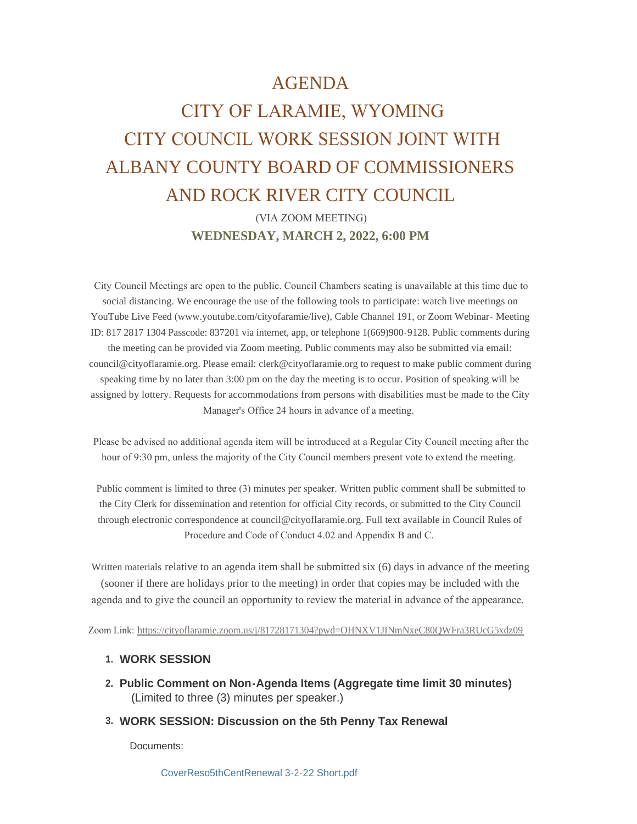## AGENDA

## CITY OF LARAMIE, WYOMING CITY COUNCIL WORK SESSION JOINT WITH ALBANY COUNTY BOARD OF COMMISSIONERS AND ROCK RIVER CITY COUNCIL

 (VIA ZOOM MEETING) **WEDNESDAY, MARCH 2, 2022, 6:00 PM**

 City Council Meetings are open to the public. Council Chambers seating is unavailable at this time due to social distancing. We encourage the use of the following tools to participate: watch live meetings on YouTube Live Feed (www.youtube.com/cityofaramie/live), Cable Channel 191, or Zoom Webinar- Meeting ID: 817 2817 1304 Passcode: 837201 via internet, app, or telephone 1(669)900-9128. Public comments during the meeting can be provided via Zoom meeting. Public comments may also be submitted via email: council@cityoflaramie.org. Please email: clerk@cityoflaramie.org to request to make public comment during speaking time by no later than 3:00 pm on the day the meeting is to occur. Position of speaking will be assigned by lottery. Requests for accommodations from persons with disabilities must be made to the City Manager's Office 24 hours in advance of a meeting.

 Please be advised no additional agenda item will be introduced at a Regular City Council meeting after the hour of 9:30 pm, unless the majority of the City Council members present vote to extend the meeting.

 Public comment is limited to three (3) minutes per speaker. Written public comment shall be submitted to the City Clerk for dissemination and retention for official City records, or submitted to the City Council through electronic correspondence at council@cityoflaramie.org. Full text available in Council Rules of Procedure and Code of Conduct 4.02 and Appendix B and C.

Written materials relative to an agenda item shall be submitted six (6) days in advance of the meeting (sooner if there are holidays prior to the meeting) in order that copies may be included with the agenda and to give the council an opportunity to review the material in advance of the appearance.

Zoom Link: <https://cityoflaramie.zoom.us/j/81728171304?pwd=OHNXV1JINmNxeC80QWFra3RUcG5xdz09>

## **WORK SESSION 1.**

- **Public Comment on Non-Agenda Items (Aggregate time limit 30 minutes) 2.** (Limited to three (3) minutes per speaker.)
- **WORK SESSION: Discussion on the 5th Penny Tax Renewal 3.**

Documents: